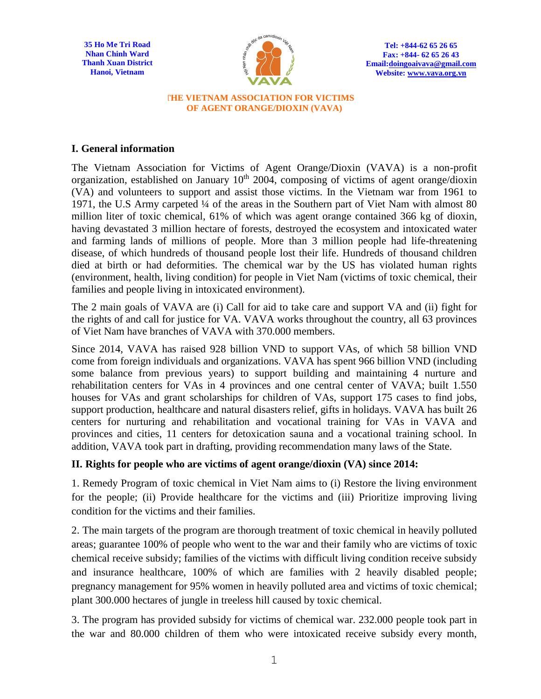**35 Ho Me Tri Road Nhan Chinh Ward Thanh Xuan District Hanoi, Vietnam**



**Tel: +844-62 65 26 65 Fax: +844- 62 65 26 43 Email[:doingoaivava@gmail.com](mailto:doingoaivava@gmail.com)  Website: [www.vava.org.vn](http://www.vava.org.vn/)**

## **THE VIETNAM ASSOCIATION FOR VICTIMS OF AGENT ORANGE/DIOXIN (VAVA)**

## **I. General information**

The Vietnam Association for Victims of Agent Orange/Dioxin (VAVA) is a non-profit organization, established on January  $10<sup>th</sup>$  2004, composing of victims of agent orange/dioxin (VA) and volunteers to support and assist those victims. In the Vietnam war from 1961 to 1971, the U.S Army carpeted ¼ of the areas in the Southern part of Viet Nam with almost 80 million liter of toxic chemical, 61% of which was agent orange contained 366 kg of dioxin, having devastated 3 million hectare of forests, destroyed the ecosystem and intoxicated water and farming lands of millions of people. More than 3 million people had life-threatening disease, of which hundreds of thousand people lost their life. Hundreds of thousand children died at birth or had deformities. The chemical war by the US has violated human rights (environment, health, living condition) for people in Viet Nam (victims of toxic chemical, their families and people living in intoxicated environment).

The 2 main goals of VAVA are (i) Call for aid to take care and support VA and (ii) fight for the rights of and call for justice for VA. VAVA works throughout the country, all 63 provinces of Viet Nam have branches of VAVA with 370.000 members.

Since 2014, VAVA has raised 928 billion VND to support VAs, of which 58 billion VND come from foreign individuals and organizations. VAVA has spent 966 billion VND (including some balance from previous years) to support building and maintaining 4 nurture and rehabilitation centers for VAs in 4 provinces and one central center of VAVA; built 1.550 houses for VAs and grant scholarships for children of VAs, support 175 cases to find jobs, support production, healthcare and natural disasters relief, gifts in holidays. VAVA has built 26 centers for nurturing and rehabilitation and vocational training for VAs in VAVA and provinces and cities, 11 centers for detoxication sauna and a vocational training school. In addition, VAVA took part in drafting, providing recommendation many laws of the State.

## **II. Rights for people who are victims of agent orange/dioxin (VA) since 2014:**

1. Remedy Program of toxic chemical in Viet Nam aims to (i) Restore the living environment for the people; (ii) Provide healthcare for the victims and (iii) Prioritize improving living condition for the victims and their families.

2. The main targets of the program are thorough treatment of toxic chemical in heavily polluted areas; guarantee 100% of people who went to the war and their family who are victims of toxic chemical receive subsidy; families of the victims with difficult living condition receive subsidy and insurance healthcare, 100% of which are families with 2 heavily disabled people; pregnancy management for 95% women in heavily polluted area and victims of toxic chemical; plant 300.000 hectares of jungle in treeless hill caused by toxic chemical.

3. The program has provided subsidy for victims of chemical war. 232.000 people took part in the war and 80.000 children of them who were intoxicated receive subsidy every month,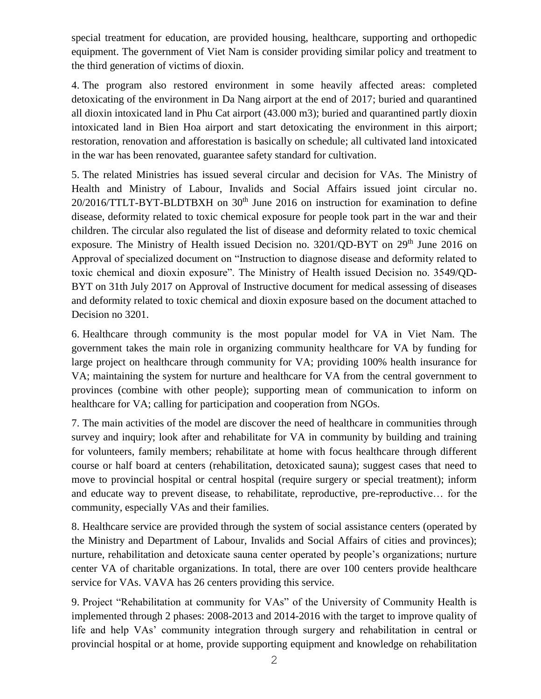special treatment for education, are provided housing, healthcare, supporting and orthopedic equipment. The government of Viet Nam is consider providing similar policy and treatment to the third generation of victims of dioxin.

4. The program also restored environment in some heavily affected areas: completed detoxicating of the environment in Da Nang airport at the end of 2017; buried and quarantined all dioxin intoxicated land in Phu Cat airport (43.000 m3); buried and quarantined partly dioxin intoxicated land in Bien Hoa airport and start detoxicating the environment in this airport; restoration, renovation and afforestation is basically on schedule; all cultivated land intoxicated in the war has been renovated, guarantee safety standard for cultivation.

5. The related Ministries has issued several circular and decision for VAs. The Ministry of Health and Ministry of Labour, Invalids and Social Affairs issued joint circular no. 20/2016/TTLT-BYT-BLDTBXH on 30<sup>th</sup> June 2016 on instruction for examination to define disease, deformity related to toxic chemical exposure for people took part in the war and their children. The circular also regulated the list of disease and deformity related to toxic chemical exposure. The Ministry of Health issued Decision no. 3201/QD-BYT on 29<sup>th</sup> June 2016 on Approval of specialized document on "Instruction to diagnose disease and deformity related to toxic chemical and dioxin exposure". The Ministry of Health issued Decision no. 3549/QD-BYT on 31th July 2017 on Approval of Instructive document for medical assessing of diseases and deformity related to toxic chemical and dioxin exposure based on the document attached to Decision no 3201.

6. Healthcare through community is the most popular model for VA in Viet Nam. The government takes the main role in organizing community healthcare for VA by funding for large project on healthcare through community for VA; providing 100% health insurance for VA; maintaining the system for nurture and healthcare for VA from the central government to provinces (combine with other people); supporting mean of communication to inform on healthcare for VA; calling for participation and cooperation from NGOs.

7. The main activities of the model are discover the need of healthcare in communities through survey and inquiry; look after and rehabilitate for VA in community by building and training for volunteers, family members; rehabilitate at home with focus healthcare through different course or half board at centers (rehabilitation, detoxicated sauna); suggest cases that need to move to provincial hospital or central hospital (require surgery or special treatment); inform and educate way to prevent disease, to rehabilitate, reproductive, pre-reproductive… for the community, especially VAs and their families.

8. Healthcare service are provided through the system of social assistance centers (operated by the Ministry and Department of Labour, Invalids and Social Affairs of cities and provinces); nurture, rehabilitation and detoxicate sauna center operated by people's organizations; nurture center VA of charitable organizations. In total, there are over 100 centers provide healthcare service for VAs. VAVA has 26 centers providing this service.

9. Project "Rehabilitation at community for VAs" of the University of Community Health is implemented through 2 phases: 2008-2013 and 2014-2016 with the target to improve quality of life and help VAs' community integration through surgery and rehabilitation in central or provincial hospital or at home, provide supporting equipment and knowledge on rehabilitation